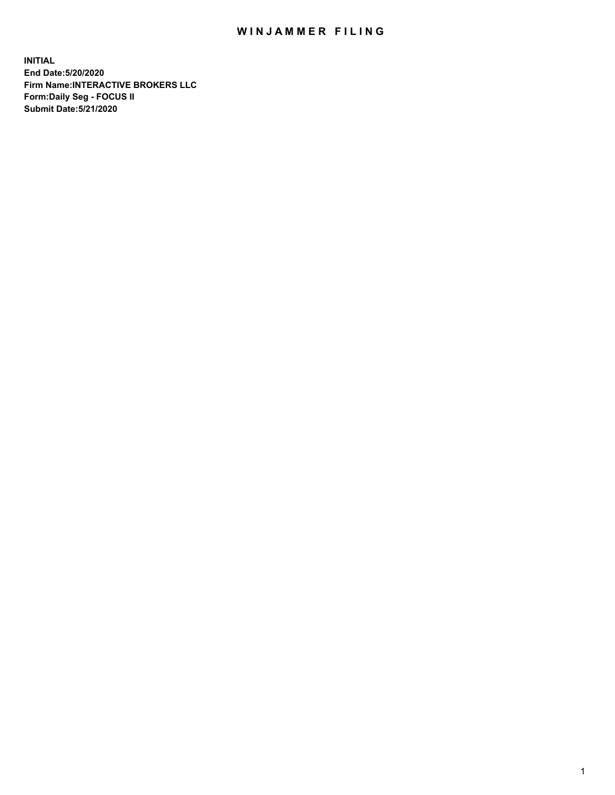## WIN JAMMER FILING

**INITIAL End Date:5/20/2020 Firm Name:INTERACTIVE BROKERS LLC Form:Daily Seg - FOCUS II Submit Date:5/21/2020**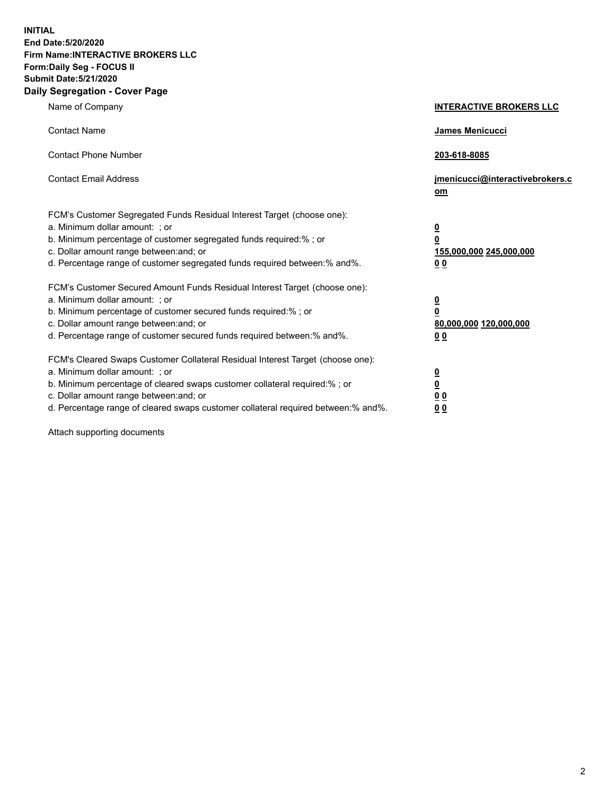**INITIAL End Date:5/20/2020 Firm Name:INTERACTIVE BROKERS LLC Form:Daily Seg - FOCUS II Submit Date:5/21/2020 Daily Segregation - Cover Page**

| Name of Company                                                                                                                                                                                                                                                                                                                | <b>INTERACTIVE BROKERS LLC</b>                                                   |
|--------------------------------------------------------------------------------------------------------------------------------------------------------------------------------------------------------------------------------------------------------------------------------------------------------------------------------|----------------------------------------------------------------------------------|
| <b>Contact Name</b>                                                                                                                                                                                                                                                                                                            | James Menicucci                                                                  |
| <b>Contact Phone Number</b>                                                                                                                                                                                                                                                                                                    | 203-618-8085                                                                     |
| <b>Contact Email Address</b>                                                                                                                                                                                                                                                                                                   | jmenicucci@interactivebrokers.c<br>om                                            |
| FCM's Customer Segregated Funds Residual Interest Target (choose one):<br>a. Minimum dollar amount: ; or<br>b. Minimum percentage of customer segregated funds required:% ; or<br>c. Dollar amount range between: and; or<br>d. Percentage range of customer segregated funds required between:% and%.                         | <u>0</u><br>$\overline{\mathbf{0}}$<br>155,000,000 245,000,000<br>0 <sub>0</sub> |
| FCM's Customer Secured Amount Funds Residual Interest Target (choose one):<br>a. Minimum dollar amount: ; or<br>b. Minimum percentage of customer secured funds required:% ; or<br>c. Dollar amount range between: and; or<br>d. Percentage range of customer secured funds required between:% and%.                           | <u>0</u><br>$\overline{\mathbf{0}}$<br>80,000,000 120,000,000<br>0 <sub>0</sub>  |
| FCM's Cleared Swaps Customer Collateral Residual Interest Target (choose one):<br>a. Minimum dollar amount: ; or<br>b. Minimum percentage of cleared swaps customer collateral required:% ; or<br>c. Dollar amount range between: and; or<br>d. Percentage range of cleared swaps customer collateral required between:% and%. | <u>0</u><br>$\underline{\mathbf{0}}$<br>0 <sub>0</sub><br>0 <sub>0</sub>         |

Attach supporting documents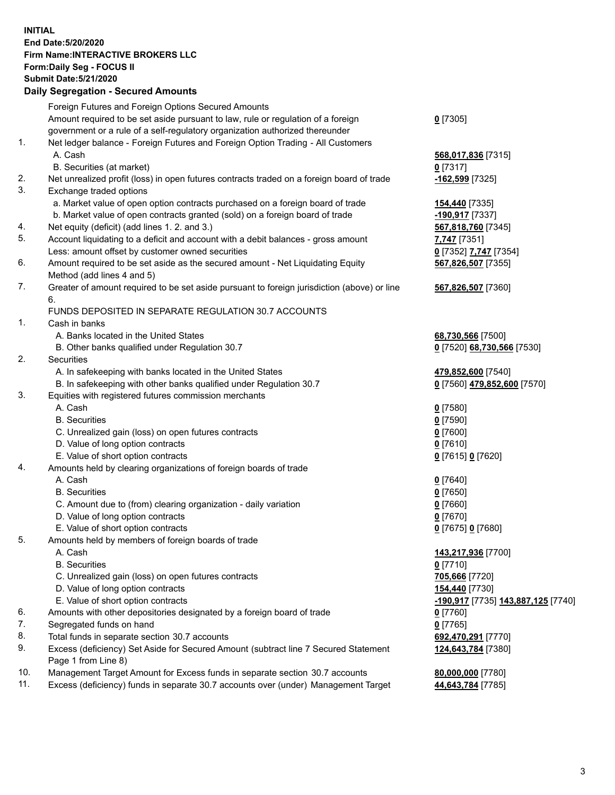**INITIAL End Date:5/20/2020 Firm Name:INTERACTIVE BROKERS LLC Form:Daily Seg - FOCUS II Submit Date:5/21/2020 Daily Segregation - Secured Amounts**

|     | Foreign Futures and Foreign Options Secured Amounts                                               |                                                 |
|-----|---------------------------------------------------------------------------------------------------|-------------------------------------------------|
|     | Amount required to be set aside pursuant to law, rule or regulation of a foreign                  | $0$ [7305]                                      |
|     | government or a rule of a self-regulatory organization authorized thereunder                      |                                                 |
| 1.  | Net ledger balance - Foreign Futures and Foreign Option Trading - All Customers                   |                                                 |
|     | A. Cash                                                                                           | 568,017,836 [7315]                              |
|     | B. Securities (at market)                                                                         | $0$ [7317]                                      |
| 2.  | Net unrealized profit (loss) in open futures contracts traded on a foreign board of trade         | -162,599 [7325]                                 |
| 3.  | Exchange traded options                                                                           |                                                 |
|     | a. Market value of open option contracts purchased on a foreign board of trade                    | 154,440 [7335]                                  |
|     | b. Market value of open contracts granted (sold) on a foreign board of trade                      | -190,917 [7337]                                 |
| 4.  | Net equity (deficit) (add lines 1. 2. and 3.)                                                     | 567,818,760 [7345]                              |
| 5.  | Account liquidating to a deficit and account with a debit balances - gross amount                 | 7,747 [7351]                                    |
|     | Less: amount offset by customer owned securities                                                  | 0 [7352] 7.747 [7354]                           |
| 6.  | Amount required to be set aside as the secured amount - Net Liquidating Equity                    | 567,826,507 [7355]                              |
|     | Method (add lines 4 and 5)                                                                        |                                                 |
| 7.  | Greater of amount required to be set aside pursuant to foreign jurisdiction (above) or line<br>6. | 567,826,507 [7360]                              |
|     | FUNDS DEPOSITED IN SEPARATE REGULATION 30.7 ACCOUNTS                                              |                                                 |
| 1.  | Cash in banks                                                                                     |                                                 |
|     | A. Banks located in the United States                                                             | 68,730,566 [7500]                               |
|     | B. Other banks qualified under Regulation 30.7                                                    | 0 [7520] 68,730,566 [7530]                      |
| 2.  | Securities                                                                                        |                                                 |
|     | A. In safekeeping with banks located in the United States                                         | 479,852,600 [7540]                              |
|     | B. In safekeeping with other banks qualified under Regulation 30.7                                | 0 [7560] 479,852,600 [7570]                     |
| 3.  | Equities with registered futures commission merchants                                             |                                                 |
|     | A. Cash                                                                                           | $0$ [7580]                                      |
|     | <b>B.</b> Securities                                                                              | $0$ [7590]                                      |
|     | C. Unrealized gain (loss) on open futures contracts                                               | $0$ [7600]                                      |
|     | D. Value of long option contracts                                                                 | $0$ [7610]                                      |
|     | E. Value of short option contracts                                                                | 0 [7615] 0 [7620]                               |
| 4.  | Amounts held by clearing organizations of foreign boards of trade                                 |                                                 |
|     | A. Cash                                                                                           | $Q$ [7640]                                      |
|     | <b>B.</b> Securities                                                                              | $0$ [7650]                                      |
|     | C. Amount due to (from) clearing organization - daily variation                                   | $0$ [7660]                                      |
|     | D. Value of long option contracts                                                                 | $0$ [7670]                                      |
|     | E. Value of short option contracts                                                                | 0 [7675] 0 [7680]                               |
| 5.  | Amounts held by members of foreign boards of trade                                                |                                                 |
|     | A. Cash                                                                                           | 143,217,936 [7700]                              |
|     | <b>B.</b> Securities                                                                              | $0$ [7710]                                      |
|     | C. Unrealized gain (loss) on open futures contracts                                               | 705,666 [7720]                                  |
|     | D. Value of long option contracts                                                                 | 154,440 [7730]                                  |
|     | E. Value of short option contracts                                                                | <mark>-190,917</mark> [7735] 143,887,125 [7740] |
| 6.  | Amounts with other depositories designated by a foreign board of trade                            | $0$ [7760]                                      |
| 7.  | Segregated funds on hand                                                                          | $0$ [7765]                                      |
| 8.  | Total funds in separate section 30.7 accounts                                                     | 692,470,291 [7770]                              |
| 9.  | Excess (deficiency) Set Aside for Secured Amount (subtract line 7 Secured Statement               | 124,643,784 [7380]                              |
|     | Page 1 from Line 8)                                                                               |                                                 |
| 10. | Management Target Amount for Excess funds in separate section 30.7 accounts                       | 80,000,000 [7780]                               |
| 11. | Excess (deficiency) funds in separate 30.7 accounts over (under) Management Target                | 44,643,784 [7785]                               |
|     |                                                                                                   |                                                 |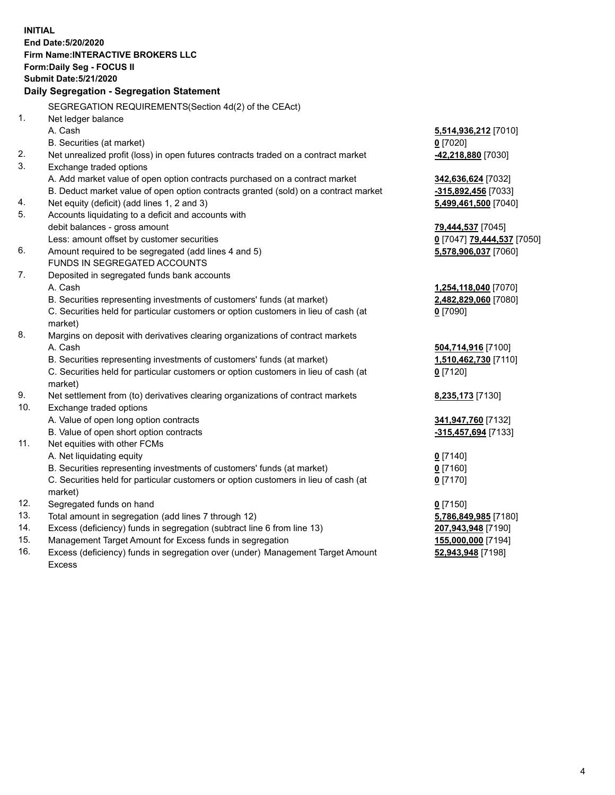**INITIAL End Date:5/20/2020 Firm Name:INTERACTIVE BROKERS LLC Form:Daily Seg - FOCUS II Submit Date:5/21/2020 Daily Segregation - Segregation Statement** SEGREGATION REQUIREMENTS(Section 4d(2) of the CEAct) 1. Net ledger balance A. Cash **5,514,936,212** [7010] B. Securities (at market) **0** [7020] 2. Net unrealized profit (loss) in open futures contracts traded on a contract market **-42,218,880** [7030] 3. Exchange traded options A. Add market value of open option contracts purchased on a contract market **342,636,624** [7032] B. Deduct market value of open option contracts granted (sold) on a contract market **-315,892,456** [7033] 4. Net equity (deficit) (add lines 1, 2 and 3) **5,499,461,500** [7040] 5. Accounts liquidating to a deficit and accounts with debit balances - gross amount **79,444,537** [7045] Less: amount offset by customer securities **0** [7047] **79,444,537** [7050] 6. Amount required to be segregated (add lines 4 and 5) **5,578,906,037** [7060] FUNDS IN SEGREGATED ACCOUNTS 7. Deposited in segregated funds bank accounts A. Cash **1,254,118,040** [7070] B. Securities representing investments of customers' funds (at market) **2,482,829,060** [7080] C. Securities held for particular customers or option customers in lieu of cash (at market) **0** [7090] 8. Margins on deposit with derivatives clearing organizations of contract markets A. Cash **504,714,916** [7100] B. Securities representing investments of customers' funds (at market) **1,510,462,730** [7110] C. Securities held for particular customers or option customers in lieu of cash (at market) **0** [7120] 9. Net settlement from (to) derivatives clearing organizations of contract markets **8,235,173** [7130] 10. Exchange traded options A. Value of open long option contracts **341,947,760** [7132] B. Value of open short option contracts **-315,457,694** [7133] 11. Net equities with other FCMs A. Net liquidating equity **0** [7140] B. Securities representing investments of customers' funds (at market) **0** [7160] C. Securities held for particular customers or option customers in lieu of cash (at market) **0** [7170] 12. Segregated funds on hand **0** [7150] 13. Total amount in segregation (add lines 7 through 12) **5,786,849,985** [7180] 14. Excess (deficiency) funds in segregation (subtract line 6 from line 13) **207,943,948** [7190] 15. Management Target Amount for Excess funds in segregation **155,000,000** [7194]

16. Excess (deficiency) funds in segregation over (under) Management Target Amount Excess

**52,943,948** [7198]